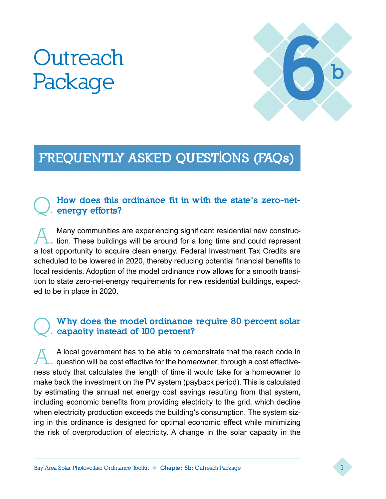# **Outreach Package**



## FREQUENTLY ASKED QUESTIONS (FAQs)

#### How does this ordinance fit in with the state's zero-netenergy efforts?

A. Many communities are experiencing significant residential new construc-tion. These buildings will be around for a long time and could represent a lost opportunity to acquire clean energy. Federal Investment Tax Credits are scheduled to be lowered in 2020, thereby reducing potential financial benefits to local residents. Adoption of the model ordinance now allows for a smooth transition to state zero-net-energy requirements for new residential buildings, expected to be in place in 2020.

#### Why does the model ordinance require 80 percent solar capacity instead of 100 percent?

A local government has to be able to demonstrate that the reach code in question will be cost effective for the homeowner, through a cost effectiveness study that calculates the length of time it would take for a homeowner to make back the investment on the PV system (payback period). This is calculated by estimating the annual net energy cost savings resulting from that system, including economic benefits from providing electricity to the grid, which decline when electricity production exceeds the building's consumption. The system sizing in this ordinance is designed for optimal economic effect while minimizing the risk of overproduction of electricity. A change in the solar capacity in the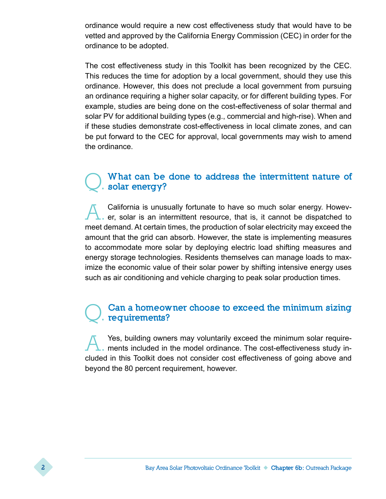ordinance would require a new cost effectiveness study that would have to be vetted and approved by the California Energy Commission (CEC) in order for the ordinance to be adopted.

The cost effectiveness study in this Toolkit has been recognized by the CEC. This reduces the time for adoption by a local government, should they use this ordinance. However, this does not preclude a local government from pursuing an ordinance requiring a higher solar capacity, or for different building types. For example, studies are being done on the cost-effectiveness of solar thermal and solar PV for additional building types (e.g., commercial and high-rise). When and if these studies demonstrate cost-effectiveness in local climate zones, and can be put forward to the CEC for approval, local governments may wish to amend the ordinance.

#### What can be done to address the intermittent nature of solar energy?

A. California is unusually fortunate to have so much solar energy. Howev-<br>er, solar is an intermittent resource, that is, it cannot be dispatched to meet demand. At certain times, the production of solar electricity may exceed the amount that the grid can absorb. However, the state is implementing measures to accommodate more solar by deploying electric load shifting measures and energy storage technologies. Residents themselves can manage loads to maximize the economic value of their solar power by shifting intensive energy uses such as air conditioning and vehicle charging to peak solar production times.

#### Can a homeowner choose to exceed the minimum sizing requirements?

A. Yes, building owners may voluntarily exceed the minimum solar require-ments included in the model ordinance. The cost-effectiveness study included in this Toolkit does not consider cost effectiveness of going above and beyond the 80 percent requirement, however.